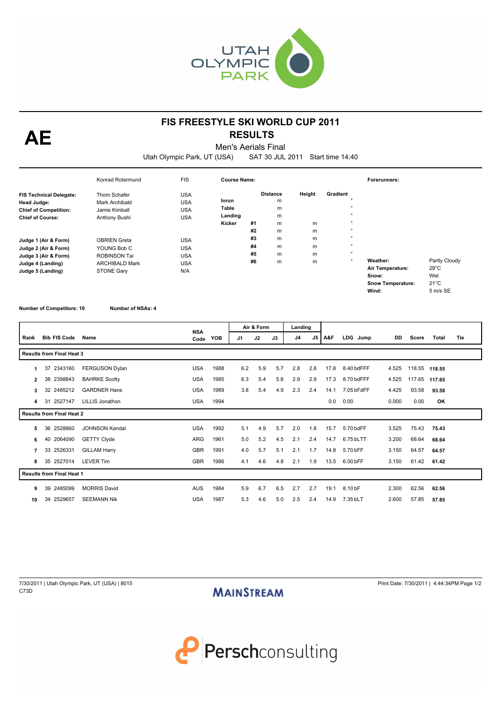



Men's Aerials Final

Utah Olympic Park, UT (USA) SAT 30 JUL 2011 Start time 14:40

|                                                                                                                | Konrad Rotermund                                                                                        | <b>FIS</b>                                                  | <b>Course Name:</b>                 |                      |                                          |                  |                                                                 | Forerunners:                                                               |                                                                      |
|----------------------------------------------------------------------------------------------------------------|---------------------------------------------------------------------------------------------------------|-------------------------------------------------------------|-------------------------------------|----------------------|------------------------------------------|------------------|-----------------------------------------------------------------|----------------------------------------------------------------------------|----------------------------------------------------------------------|
| <b>FIS Technical Delegate:</b><br>Head Judge:<br><b>Chief of Competition:</b><br><b>Chief of Course:</b>       | Thom Schafer<br>Mark Archibald<br>Jamie Kimball<br>Anthony Bushi                                        | <b>USA</b><br><b>USA</b><br><b>USA</b><br><b>USA</b>        | Inrun<br>Table<br>Landing<br>Kicker | #1<br>#2             | <b>Distance</b><br>m<br>m<br>m<br>m<br>m | Height<br>m<br>m | Gradient<br>$\circ$<br>$\circ$<br>$\circ$<br>$\circ$<br>$\circ$ |                                                                            |                                                                      |
| Judge 1 (Air & Form)<br>Judge 2 (Air & Form)<br>Judge 3 (Air & Form)<br>Judge 4 (Landing)<br>Judge 5 (Landing) | <b>OBRIEN Greta</b><br>YOUNG Bob C<br><b>ROBINSON Tai</b><br><b>ARCHIBALD Mark</b><br><b>STONE Gary</b> | <b>USA</b><br><b>USA</b><br><b>USA</b><br><b>USA</b><br>N/A |                                     | #3<br>#4<br>#5<br>#6 | m<br>m<br>m<br>m                         | m<br>m<br>m<br>m | $\circ$<br>$\circ$<br>$\circ$<br>$\circ$                        | Weather:<br>Air Temperature:<br>Snow:<br><b>Snow Temperature:</b><br>Wind: | Partly Cloudy<br>$29^{\circ}$ C<br>Wet<br>$21^{\circ}$ C<br>5 m/s SE |

**Number of Competitors: 10 Number of NSAs: 4**

|      |                                  |                        | <b>NSA</b> |      |     | Air & Form |     | Landing        |     |      |             |       |        |              |     |
|------|----------------------------------|------------------------|------------|------|-----|------------|-----|----------------|-----|------|-------------|-------|--------|--------------|-----|
| Rank | <b>Bib FIS Code</b>              | Name                   | Code       | YOB  | J1  | J2         | J3  | J <sub>4</sub> | J5  | A&F  | LDG<br>Jump | DD.   | Score  | <b>Total</b> | Tie |
|      | <b>Results from Final Heat 3</b> |                        |            |      |     |            |     |                |     |      |             |       |        |              |     |
|      | 37 2343160                       | <b>FERGUSON Dylan</b>  | <b>USA</b> | 1988 | 6.2 | 5.9        | 5.7 | 2.8            | 2.8 | 17.8 | 8.40 bdFFF  | 4.525 | 118.55 | 118.55       |     |
| 2    | 38 2398843                       | <b>BAHRKE Scotty</b>   | <b>USA</b> | 1985 | 6.3 | 5.4        | 5.6 | 2.9            | 2.9 | 17.3 | 8.70 bdFFF  | 4.525 | 117.65 | 117.65       |     |
| 3    | 32 2485212                       | <b>GARDNER Hans</b>    | <b>USA</b> | 1989 | 3.8 | 5.4        | 4.9 | 2.3            | 2.4 | 14.1 | 7.05 bFdFF  | 4.425 | 93.58  | 93.58        |     |
| 4    | 31 2527147                       | <b>LILLIS Jonathon</b> | <b>USA</b> | 1994 |     |            |     |                |     | 0.0  | 0.00        | 0.000 | 0.00   | <b>OK</b>    |     |
|      | <b>Results from Final Heat 2</b> |                        |            |      |     |            |     |                |     |      |             |       |        |              |     |
| 5    | 36 2528860                       | <b>JOHNSON Kendal</b>  | <b>USA</b> | 1992 | 5.1 | 4.9        | 5.7 | 2.0            | 1.8 | 15.7 | 5.70 bdFF   | 3.525 | 75.43  | 75.43        |     |
| 6    | 40 2064090                       | <b>GETTY Clyde</b>     | ARG        | 1961 | 5.0 | 5.2        | 4.5 | 2.1            | 2.4 | 14.7 | 6.75 bLTT   | 3.200 | 68.64  | 68.64        |     |
|      | 33 2526331                       | <b>GILLAM Harry</b>    | <b>GBR</b> | 1991 | 4.0 | 5.7        | 5.1 | 2.1            | 1.7 | 14.8 | 5.70 bFF    | 3.150 | 64.57  | 64.57        |     |
| 8    | 35 2527014                       | <b>LEVER Tim</b>       | <b>GBR</b> | 1986 | 4.1 | 4.6        | 4.8 | 2.1            | 1.9 | 13.5 | 6.00 bFF    | 3.150 | 61.42  | 61.42        |     |
|      | <b>Results from Final Heat 1</b> |                        |            |      |     |            |     |                |     |      |             |       |        |              |     |
| 9    | 39 2485099                       | <b>MORRIS David</b>    | <b>AUS</b> | 1984 | 5.9 | 6.7        | 6.5 | 2.7            | 2.7 | 19.1 | 8.10 bF     | 2.300 | 62.56  | 62.56        |     |
| 10   | 34<br>2529657                    | <b>SEEMANN Nik</b>     | <b>USA</b> | 1987 | 5.3 | 4.6        | 5.0 | 2.5            | 2.4 | 14.9 | 7.35 bLT    | 2.600 | 57.85  | 57.85        |     |

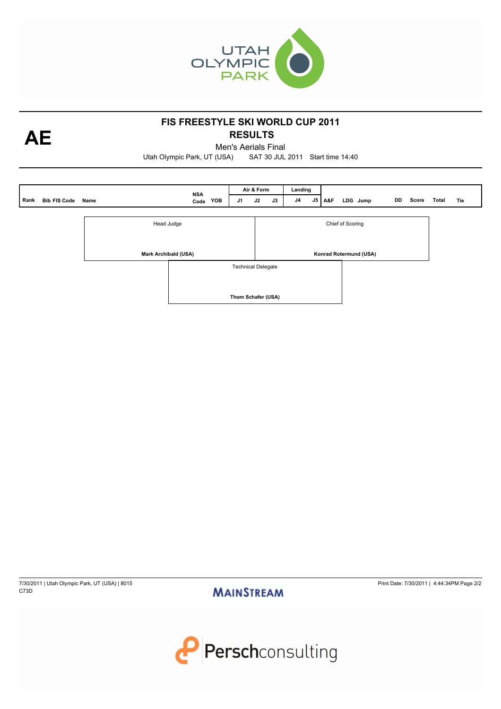



Men's Aerials Final

Utah Olympic Park, UT (USA) SAT 30 JUL 2011 Start time 14:40

|      |                     |      | <b>NSA</b>                  |     |                           | Air & Form<br>Landing |    |                |  |                     |                  |                        |  |    |       |       |     |
|------|---------------------|------|-----------------------------|-----|---------------------------|-----------------------|----|----------------|--|---------------------|------------------|------------------------|--|----|-------|-------|-----|
| Rank | <b>Bib FIS Code</b> | Name | Code                        | YOB | J1                        | J2                    | J3 | J <sub>4</sub> |  | <b>J5   A&amp;F</b> |                  | LDG Jump               |  | DD | Score | Total | Tie |
|      |                     |      |                             |     |                           |                       |    |                |  |                     |                  |                        |  |    |       |       |     |
|      |                     |      | Head Judge                  |     |                           |                       |    |                |  |                     | Chief of Scoring |                        |  |    |       |       |     |
|      |                     |      |                             |     |                           |                       |    |                |  |                     |                  |                        |  |    |       |       |     |
|      |                     |      | <b>Mark Archibald (USA)</b> |     |                           |                       |    |                |  |                     |                  | Konrad Rotermund (USA) |  |    |       |       |     |
|      |                     |      |                             |     | <b>Technical Delegate</b> |                       |    |                |  |                     |                  |                        |  |    |       |       |     |
|      |                     |      |                             |     |                           |                       |    |                |  |                     |                  |                        |  |    |       |       |     |
|      |                     |      |                             |     |                           | Thom Schafer (USA)    |    |                |  |                     |                  |                        |  |    |       |       |     |
|      |                     |      |                             |     |                           |                       |    |                |  |                     |                  |                        |  |    |       |       |     |

7/30/2011 | Utah Olympic Park, UT (USA) | 8015<br>C73D Print Date: 7/30/2011 | 4:44:34PM Page 2/2 C73D

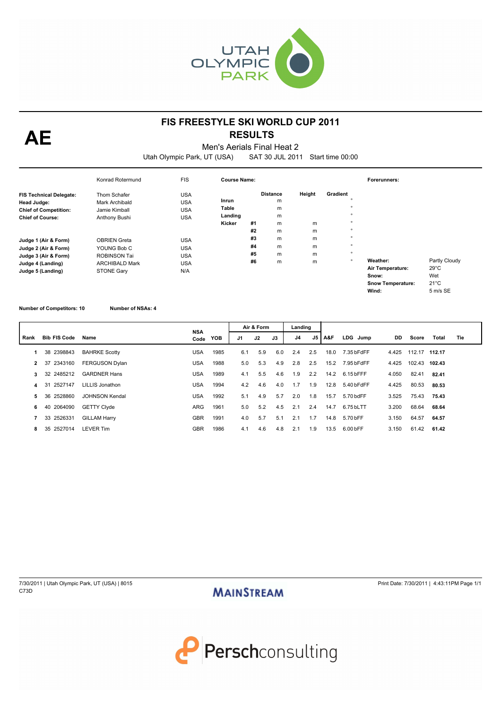

Men's Aerials Final Heat 2

Utah Olympic Park, UT (USA) SAT 30 JUL 2011 Start time 00:00

|                                                                                                                | Konrad Rotermund                                                                                        | <b>FIS</b>                                                  | <b>Course Name:</b>                 |                      |                                          |                  |                                                                 | Forerunners:                                                               |                                                                      |
|----------------------------------------------------------------------------------------------------------------|---------------------------------------------------------------------------------------------------------|-------------------------------------------------------------|-------------------------------------|----------------------|------------------------------------------|------------------|-----------------------------------------------------------------|----------------------------------------------------------------------------|----------------------------------------------------------------------|
| <b>FIS Technical Delegate:</b><br>Head Judge:<br><b>Chief of Competition:</b><br><b>Chief of Course:</b>       | Thom Schafer<br>Mark Archibald<br>Jamie Kimball<br>Anthony Bushi                                        | <b>USA</b><br><b>USA</b><br><b>USA</b><br><b>USA</b>        | Inrun<br>Table<br>Landing<br>Kicker | #1<br>#2             | <b>Distance</b><br>m<br>m<br>m<br>m<br>m | Height<br>m<br>m | Gradient<br>$\circ$<br>$\circ$<br>$\circ$<br>$\circ$<br>$\circ$ |                                                                            |                                                                      |
| Judge 1 (Air & Form)<br>Judge 2 (Air & Form)<br>Judge 3 (Air & Form)<br>Judge 4 (Landing)<br>Judge 5 (Landing) | <b>OBRIEN Greta</b><br>YOUNG Bob C<br><b>ROBINSON Tai</b><br><b>ARCHIBALD Mark</b><br><b>STONE Gary</b> | <b>USA</b><br><b>USA</b><br><b>USA</b><br><b>USA</b><br>N/A |                                     | #3<br>#4<br>#5<br>#6 | m<br>m<br>m<br>m                         | m<br>m<br>m<br>m | $\circ$<br>$\circ$<br>$\circ$<br>$\circ$                        | Weather:<br>Air Temperature:<br>Snow:<br><b>Snow Temperature:</b><br>Wind: | Partly Cloudy<br>$29^{\circ}$ C<br>Wet<br>$21^{\circ}$ C<br>5 m/s SE |

#### **Number of Competitors: 10 Number of NSAs: 4**

|              |                     |                       | <b>NSA</b> |      |     |     |     |     |     | Air & Form |            | Landing |               |        |     |  |  |  |  |
|--------------|---------------------|-----------------------|------------|------|-----|-----|-----|-----|-----|------------|------------|---------|---------------|--------|-----|--|--|--|--|
| Rank         | <b>Bib FIS Code</b> | Name                  | Code       | YOB  | J1  | J2  | J3  | J4  | J5  | l A&F      | LDG Jump   | DD.     | Score         | Total  | Tie |  |  |  |  |
|              | 38 2398843          | <b>BAHRKE Scotty</b>  | <b>USA</b> | 1985 | 6.1 | 5.9 | 6.0 | 2.4 | 2.5 | 18.0       | 7.35 bFdFF | 4.425   | 112.17 112.17 |        |     |  |  |  |  |
| $\mathbf{2}$ | 37 2343160          | <b>FERGUSON Dylan</b> | <b>USA</b> | 1988 | 5.0 | 5.3 | 4.9 | 2.8 | 2.5 | 15.2       | 7.95 bFdFF | 4.425   | 102.43        | 102.43 |     |  |  |  |  |
| 3            | 32 2485212          | <b>GARDNER Hans</b>   | <b>USA</b> | 1989 | 4.1 | 5.5 | 4.6 | 1.9 | 2.2 | 14.2       | 6.15 bFFF  | 4.050   | 82.41         | 82.41  |     |  |  |  |  |
| 4            | 2527147<br>- 31     | LILLIS Jonathon       | <b>USA</b> | 1994 | 4.2 | 4.6 | 4.0 | 1.7 | 1.9 | 12.8       | 5.40 bFdFF | 4.425   | 80.53         | 80.53  |     |  |  |  |  |
| 5            | 36 2528860          | JOHNSON Kendal        | <b>USA</b> | 1992 | 5.1 | 4.9 | 5.7 | 2.0 | 1.8 | 15.7       | 5.70 bdFF  | 3.525   | 75.43         | 75.43  |     |  |  |  |  |
| 6            | 40 2064090          | <b>GETTY Clyde</b>    | ARG        | 1961 | 5.0 | 5.2 | 4.5 | 2.1 | 2.4 | 14.7       | 6.75 bLTT  | 3.200   | 68.64         | 68.64  |     |  |  |  |  |
|              | 33 2526331          | <b>GILLAM Harry</b>   | <b>GBR</b> | 1991 | 4.0 | 5.7 | 5.1 | 2.1 | 1.7 | 14.8       | 5.70 bFF   | 3.150   | 64.57         | 64.57  |     |  |  |  |  |
| 8            | 35 2527014          | <b>LEVER Tim</b>      | <b>GBR</b> | 1986 | 4.1 | 4.6 | 4.8 | 2.1 | 1.9 | 13.5       | 6.00 bFF   | 3.150   | 61.42         | 61.42  |     |  |  |  |  |



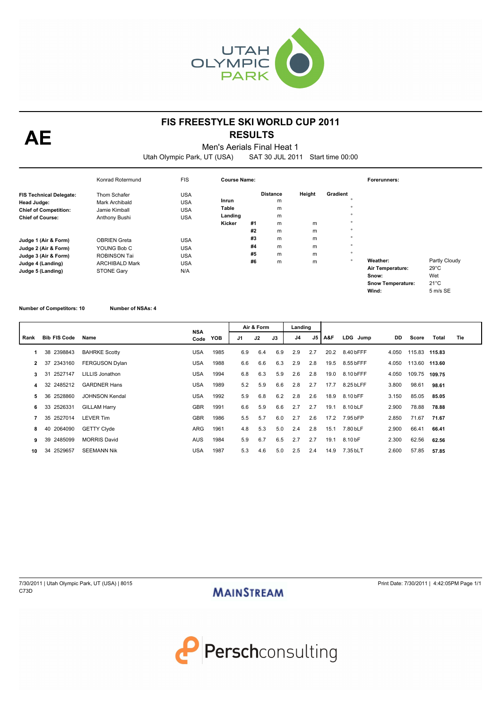

Men's Aerials Final Heat 1

Utah Olympic Park, UT (USA) SAT 30 JUL 2011 Start time 00:00

|                                                                                                                | Konrad Rotermund                                                                                        | <b>FIS</b>                                                  | Course Name:                        |                      |                                          |                  |                                                                 | Forerunners:                                                               |                                                                      |
|----------------------------------------------------------------------------------------------------------------|---------------------------------------------------------------------------------------------------------|-------------------------------------------------------------|-------------------------------------|----------------------|------------------------------------------|------------------|-----------------------------------------------------------------|----------------------------------------------------------------------------|----------------------------------------------------------------------|
| <b>FIS Technical Delegate:</b><br>Head Judge:<br><b>Chief of Competition:</b><br><b>Chief of Course:</b>       | Thom Schafer<br><b>Mark Archibald</b><br>Jamie Kimball<br>Anthony Bushi                                 | <b>USA</b><br><b>USA</b><br><b>USA</b><br><b>USA</b>        | Inrun<br>Table<br>Landing<br>Kicker | #1<br>#2             | <b>Distance</b><br>m<br>m<br>m<br>m<br>m | Height<br>m<br>m | Gradient<br>$\circ$<br>$\circ$<br>$\circ$<br>$\circ$<br>$\circ$ |                                                                            |                                                                      |
| Judge 1 (Air & Form)<br>Judge 2 (Air & Form)<br>Judge 3 (Air & Form)<br>Judge 4 (Landing)<br>Judge 5 (Landing) | <b>OBRIEN Greta</b><br>YOUNG Bob C<br><b>ROBINSON Tai</b><br><b>ARCHIBALD Mark</b><br><b>STONE Gary</b> | <b>USA</b><br><b>USA</b><br><b>USA</b><br><b>USA</b><br>N/A |                                     | #3<br>#4<br>#5<br>#6 | m<br>m<br>m<br>m                         | m<br>m<br>m<br>m | $\circ$<br>$\circ$<br>$\circ$<br>$\circ$                        | Weather:<br>Air Temperature:<br>Snow:<br><b>Snow Temperature:</b><br>Wind: | Partly Cloudy<br>$29^{\circ}$ C<br>Wet<br>$21^{\circ}$ C<br>5 m/s SE |

**Number of Competitors: 10 Number of NSAs: 4**

|      |                     |                        | <b>NSA</b> |      |     | Air & Form |     | Landing |     |      |               |       |               |       |     |
|------|---------------------|------------------------|------------|------|-----|------------|-----|---------|-----|------|---------------|-------|---------------|-------|-----|
| Rank | <b>Bib FIS Code</b> | Name                   | Code       | YOB  | J1  | J2         | J3  | J4      | J5  | A&F  | LDG Jump      | DD.   | Score         | Total | Tie |
|      | 38 2398843          | <b>BAHRKE Scotty</b>   | <b>USA</b> | 1985 | 6.9 | 6.4        | 6.9 | 2.9     | 2.7 | 20.2 | 8.40 bFFF     | 4.050 | 115.83 115.83 |       |     |
| 2    | 37 2343160          | <b>FERGUSON Dylan</b>  | <b>USA</b> | 1988 | 6.6 | 6.6        | 6.3 | 2.9     | 2.8 | 19.5 | 8.55 bFFF     | 4.050 | 113.60 113.60 |       |     |
| з.   | 31 2527147          | <b>LILLIS Jonathon</b> | <b>USA</b> | 1994 | 6.8 | 6.3        | 5.9 | 2.6     | 2.8 | 19.0 | 8.10 bFFF     | 4.050 | 109.75 109.75 |       |     |
| 4    | 32 2485212          | <b>GARDNER Hans</b>    | <b>USA</b> | 1989 | 5.2 | 5.9        | 6.6 | 2.8     | 2.7 | 17.7 | 8.25 bLFF     | 3.800 | 98.61         | 98.61 |     |
| 5    | 36 2528860          | <b>JOHNSON Kendal</b>  | <b>USA</b> | 1992 | 5.9 | 6.8        | 6.2 | 2.8     | 2.6 | 18.9 | 8.10 bFF      | 3.150 | 85.05         | 85.05 |     |
| 6    | 33 2526331          | <b>GILLAM Harry</b>    | <b>GBR</b> | 1991 | 6.6 | 5.9        | 6.6 | 2.7     | 2.7 | 19.1 | 8.10 bLF      | 2.900 | 78.88         | 78.88 |     |
|      | 35 2527014          | <b>LEVER Tim</b>       | <b>GBR</b> | 1986 | 5.5 | 5.7        | 6.0 | 2.7     | 2.6 |      | 17.2 7.95 bFP | 2.850 | 71.67         | 71.67 |     |
| 8    | 40 2064090          | <b>GETTY Clyde</b>     | ARG        | 1961 | 4.8 | 5.3        | 5.0 | 2.4     | 2.8 | 15.1 | 7.80 bLF      | 2.900 | 66.41         | 66.41 |     |
| 9    | 39 2485099          | <b>MORRIS David</b>    | <b>AUS</b> | 1984 | 5.9 | 6.7        | 6.5 | 2.7     | 2.7 | 19.1 | 8.10 bF       | 2.300 | 62.56         | 62.56 |     |
| 10   | 34 2529657          | <b>SEEMANN Nik</b>     | <b>USA</b> | 1987 | 5.3 | 4.6        | 5.0 | 2.5     | 2.4 | 14.9 | 7.35 bLT      | 2.600 | 57.85         | 57.85 |     |



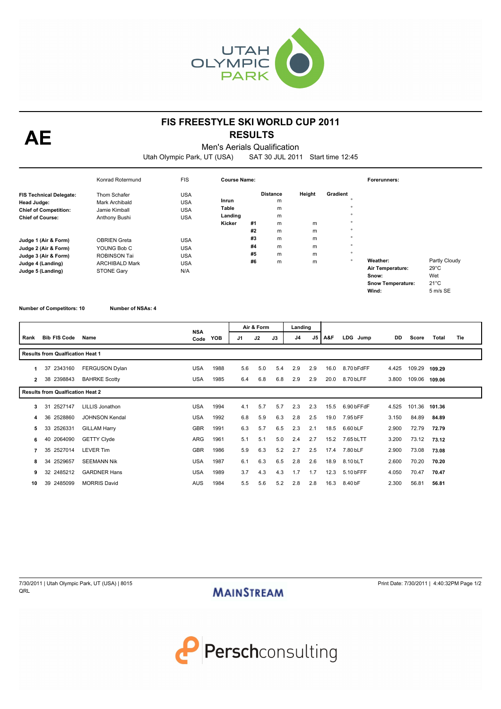

Men's Aerials Qualification

Utah Olympic Park, UT (USA) SAT 30 JUL 2011 Start time 12:45

|                                                                                                                | Konrad Rotermund                                                                                        | <b>FIS</b>                                                  | Course Name:                        |                      |                                          |                  |                                                                 | Forerunners:                                                        |                                                                      |
|----------------------------------------------------------------------------------------------------------------|---------------------------------------------------------------------------------------------------------|-------------------------------------------------------------|-------------------------------------|----------------------|------------------------------------------|------------------|-----------------------------------------------------------------|---------------------------------------------------------------------|----------------------------------------------------------------------|
| <b>FIS Technical Delegate:</b><br>Head Judge:<br><b>Chief of Competition:</b><br><b>Chief of Course:</b>       | Thom Schafer<br>Mark Archibald<br>Jamie Kimball<br>Anthony Bushi                                        | <b>USA</b><br><b>USA</b><br><b>USA</b><br><b>USA</b>        | Inrun<br>Table<br>Landing<br>Kicker | #1<br>#2             | <b>Distance</b><br>m<br>m<br>m<br>m<br>m | Height<br>m<br>m | Gradient<br>$\circ$<br>$\circ$<br>$\circ$<br>$\circ$<br>$\circ$ |                                                                     |                                                                      |
| Judge 1 (Air & Form)<br>Judge 2 (Air & Form)<br>Judge 3 (Air & Form)<br>Judge 4 (Landing)<br>Judge 5 (Landing) | <b>OBRIEN Greta</b><br>YOUNG Bob C<br><b>ROBINSON Tai</b><br><b>ARCHIBALD Mark</b><br><b>STONE Gary</b> | <b>USA</b><br><b>USA</b><br><b>USA</b><br><b>USA</b><br>N/A |                                     | #3<br>#4<br>#5<br>#6 | m<br>m<br>m<br>m                         | m<br>m<br>m<br>m | $\circ$<br>$\circ$<br>$\circ$<br>$\circ$                        | Weather:<br>Air Temperature:<br>Snow:<br>Snow Temperature:<br>Wind: | Partly Cloudy<br>$29^{\circ}$ C<br>Wet<br>$21^{\circ}$ C<br>5 m/s SE |

**Number of Competitors: 10 Number of NSAs: 4**

|              |                     |                                         | <b>NSA</b> |      |     | Air & Form |     | Landing |     |      |            |       |        |        |     |
|--------------|---------------------|-----------------------------------------|------------|------|-----|------------|-----|---------|-----|------|------------|-------|--------|--------|-----|
| Rank         | <b>Bib FIS Code</b> | Name                                    | Code       | YOB  | J1  | J2         | J3  | J4      | J5  | A&F  | LDG Jump   | DD.   | Score  | Total  | Tie |
|              |                     | <b>Results from Qualfication Heat 1</b> |            |      |     |            |     |         |     |      |            |       |        |        |     |
|              | 2343160<br>37       | <b>FERGUSON Dylan</b>                   | <b>USA</b> | 1988 | 5.6 | 5.0        | 5.4 | 2.9     | 2.9 | 16.0 | 8.70 bFdFF | 4.425 | 109.29 | 109.29 |     |
| $\mathbf{2}$ | 38 2398843          | <b>BAHRKE Scotty</b>                    | <b>USA</b> | 1985 | 6.4 | 6.8        | 6.8 | 2.9     | 2.9 | 20.0 | 8.70 bLFF  | 3.800 | 109.06 | 109.06 |     |
|              |                     | <b>Results from Qualfication Heat 2</b> |            |      |     |            |     |         |     |      |            |       |        |        |     |
| 3            | 2527147<br>31       | LILLIS Jonathon                         | <b>USA</b> | 1994 | 4.1 | 5.7        | 5.7 | 2.3     | 2.3 | 15.5 | 6.90 bFFdF | 4.525 | 101.36 | 101.36 |     |
| 4            | 36<br>2528860       | <b>JOHNSON Kendal</b>                   | <b>USA</b> | 1992 | 6.8 | 5.9        | 6.3 | 2.8     | 2.5 | 19.0 | 7.95 bFF   | 3.150 | 84.89  | 84.89  |     |
| 5            | 33<br>2526331       | <b>GILLAM Harry</b>                     | <b>GBR</b> | 1991 | 6.3 | 5.7        | 6.5 | 2.3     | 2.1 | 18.5 | 6.60 bLF   | 2.900 | 72.79  | 72.79  |     |
| 6            | 2064090<br>40       | <b>GETTY Clyde</b>                      | ARG        | 1961 | 5.1 | 5.1        | 5.0 | 2.4     | 2.7 | 15.2 | 7.65 bLTT  | 3.200 | 73.12  | 73.12  |     |
| 7            | 2527014<br>35       | <b>LEVER Tim</b>                        | <b>GBR</b> | 1986 | 5.9 | 6.3        | 5.2 | 2.7     | 2.5 | 17.4 | 7.80 bLF   | 2.900 | 73.08  | 73.08  |     |
| 8            | 2529657<br>34       | <b>SEEMANN Nik</b>                      | <b>USA</b> | 1987 | 6.1 | 6.3        | 6.5 | 2.8     | 2.6 | 18.9 | 8.10 bLT   | 2.600 | 70.20  | 70.20  |     |
| 9            | 32<br>2485212       | <b>GARDNER Hans</b>                     | <b>USA</b> | 1989 | 3.7 | 4.3        | 4.3 | 1.7     | 1.7 | 12.3 | 5.10 bFFF  | 4.050 | 70.47  | 70.47  |     |
| 10           | 39 2485099          | <b>MORRIS David</b>                     | <b>AUS</b> | 1984 | 5.5 | 5.6        | 5.2 | 2.8     | 2.8 | 16.3 | 8.40 bF    | 2.300 | 56.81  | 56.81  |     |